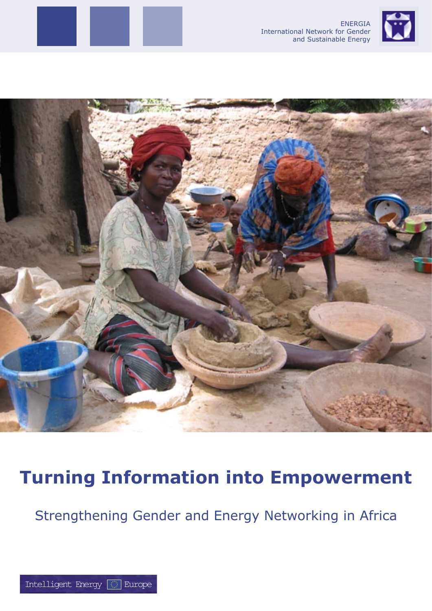





## **Turning Information into Empowerment**

Strengthening Gender and Energy Networking in Africa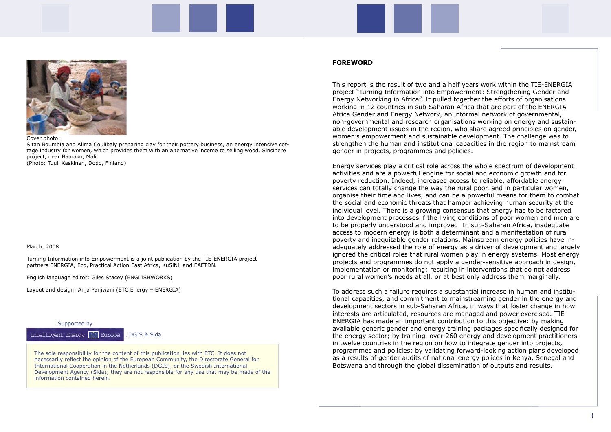#### **FOREWORD**

This report is the result of two and a half years work within the TIE-ENERGIA project "Turning Information into Empowerment: Strengthening Gender and Energy Networking in Africa". It pulled together the efforts of organisations working in 12 countries in sub-Saharan Africa that are part of the ENERGIA Africa Gender and Energy Network, an informal network of governmental, non-governmental and research organisations working on energy and sustainable development issues in the region, who share agreed principles on gender, women's empowerment and sustainable development. The challenge was to strengthen the human and institutional capacities in the region to mainstream gender in projects, programmes and policies.

Energy services play a critical role across the whole spectrum of development activities and are a powerful engine for social and economic growth and for poverty reduction. Indeed, increased access to reliable, affordable energy services can totally change the way the rural poor, and in particular women, organise their time and lives, and can be a powerful means for them to combat the social and economic threats that hamper achieving human security at the individual level. There is a growing consensus that energy has to be factored into development processes if the living conditions of poor women and men are to be properly understood and improved. In sub-Saharan Africa, inadequate access to modern energy is both a determinant and a manifestation of rural poverty and inequitable gender relations. Mainstream energy policies have inadequately addressed the role of energy as a driver of development and largely ignored the critical roles that rural women play in energy systems. Most energy projects and programmes do not apply a gender-sensitive approach in design, implementation or monitoring; resulting in interventions that do not address poor rural women's needs at all, or at best only address them marginally.

To address such a failure requires a substantial increase in human and institutional capacities, and commitment to mainstreaming gender in the energy and development sectors in sub-Saharan Africa, in ways that foster change in how interests are articulated, resources are managed and power exercised. TIE-ENERGIA has made an important contribution to this objective: by making available generic gender and energy training packages specifically designed for the energy sector; by training over 260 energy and development practitioners in twelve countries in the region on how to integrate gender into projects, programmes and policies; by validating forward-looking action plans developed as a results of gender audits of national energy polices in Kenya, Senegal and Botswana and through the global dissemination of outputs and results.



Cover photo:

Sitan Boumbia and Alima Coulibaly preparing clay for their pottery business, an energy intensive cottage industry for women, which provides them with an alternative income to selling wood. Sinsibere project, near Bamako, Mali. (Photo: Tuuli Kaskinen, Dodo, Finland)

The sole responsibility for the content of this publication lies with ETC. It does not necessarily reflect the opinion of the European Community, the Directorate General for International Cooperation in the Netherlands (DGIS), or the Swedish International Development Agency (Sida); they are not responsible for any use that may be made of the information contained herein.



#### March, 2008

Turning Information into Empowerment is a joint publication by the TIE-ENERGIA project partners ENERGIA, Eco, Practical Action East Africa, KuSiNi, and EAETDN.

English language editor: Giles Stacey (ENGLISHWORKS)

Layout and design: Anja Panjwani (ETC Energy – ENERGIA)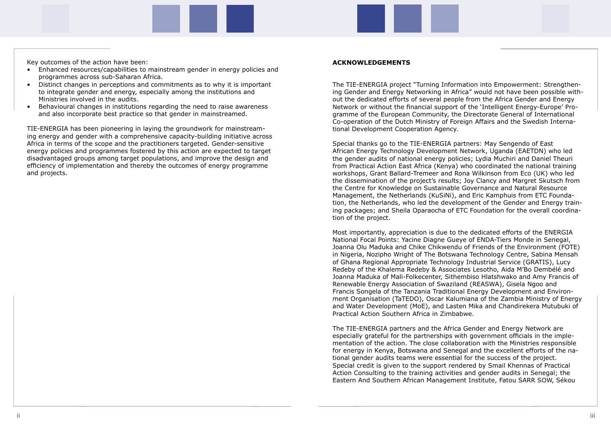Key outcomes of the action have been:

- Enhanced resources/capabilities to mainstream gender in energy policies and programmes across sub-Saharan Africa.
- Distinct changes in perceptions and commitments as to why it is important to integrate gender and energy, especially among the institutions and Ministries involved in the audits.
- Behavioural changes in institutions regarding the need to raise awareness and also incorporate best practice so that gender in mainstreamed.

TIE-ENERGIA has been pioneering in laying the groundwork for mainstreaming energy and gender with a comprehensive capacity-building initiative across Africa in terms of the scope and the practitioners targeted. Gender-sensitive energy policies and programmes fostered by this action are expected to target disadvantaged groups among target populations, and improve the design and efficiency of implementation and thereby the outcomes of energy programme and projects.

#### **ACKNOWLEDGEMENTS**

The TIE-ENERGIA project "Turning Information into Empowerment: Strengthening Gender and Energy Networking in Africa" would not have been possible without the dedicated efforts of several people from the Africa Gender and Energy Network or without the financial support of the 'Intelligent Energy-Europe' Programme of the European Community, the Directorate General of International Co-operation of the Dutch Ministry of Foreign Affairs and the Swedish International Development Cooperation Agency.

Special thanks go to the TIE-ENERGIA partners: May Sengendo of East African Energy Technology Development Network, Uganda (EAETDN) who led the gender audits of national energy policies; Lydia Muchiri and Daniel Theuri from Practical Action East Africa (Kenya) who coordinated the national training workshops, Grant Ballard-Tremeer and Rona Wilkinson from Eco (UK) who led the dissemination of the project's results; Joy Clancy and Margret Skutsch from the Centre for Knowledge on Sustainable Governance and Natural Resource Management, the Netherlands (KuSiNi), and Eric Kamphuis from ETC Foundation, the Netherlands, who led the development of the Gender and Energy training packages; and Sheila Oparaocha of ETC Foundation for the overall coordination of the project.

Most importantly, appreciation is due to the dedicated efforts of the ENERGIA National Focal Points: Yacine Diagne Gueye of ENDA-Tiers Monde in Senegal, Joanna Olu Maduka and Chike Chikwendu of Friends of the Environment (FOTE) in Nigeria, Nozipho Wright of The Botswana Technology Centre, Sabina Mensah of Ghana Regional Appropriate Technology Industrial Service (GRATIS), Lucy Redeby of the Khalema Redeby & Associates Lesotho, Aida M'Bo Dembélé and Joanna Maduka of Mali-Folkecenter, Sithembiso Hlatshwako and Amy Francis of Renewable Energy Association of Swaziland (REASWA), Gisela Ngoo and Francis Songela of the Tanzania Traditional Energy Development and Environment Organisation (TaTEDO), Oscar Kalumiana of the Zambia Ministry of Energy and Water Development (MoE), and Lasten Mika and Chandirekera Mutubuki of Practical Action Southern Africa in Zimbabwe.

The TIE-ENERGIA partners and the Africa Gender and Energy Network are especially grateful for the partnerships with government officials in the implementation of the action. The close collaboration with the Ministries responsible for energy in Kenya, Botswana and Senegal and the excellent efforts of the national gender audits teams were essential for the success of the project. Special credit is given to the support rendered by Smail Khennas of Practical Action Consulting to the training activities and gender audits in Senegal; the Eastern And Southern African Management Institute, Fatou SARR SOW, Sékou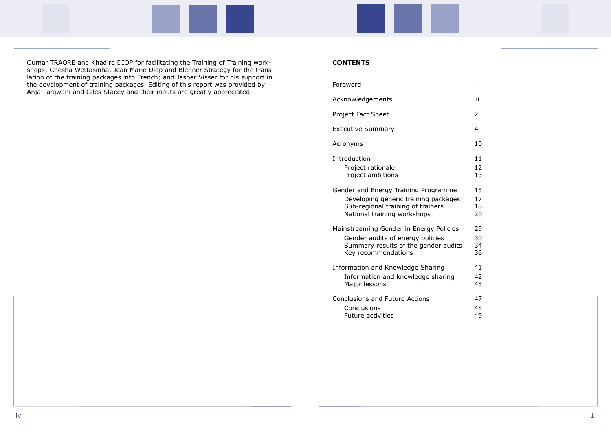Oumar TRAORE and Khadire DIOP for facilitating the Training of Training workshops; Chesha Wettasinha, Jean Marie Diop and Blenner Strategy for the translation of the training packages into French; and Jasper Visser for his support in the development of training packages. Editing of this report was provided by Anja Panjwani and Giles Stacey and their inputs are greatly appreciated.

#### **CONTENTS**

Foreword

Acknowledgements

Project Fact Sheet

Executive Summary

Acronyms

Introduction

Project rationale Project ambitions

Gender and Energy Training Programme Developing generic training packages Sub-regional training of trainers National training workshops

Mainstreaming Gender in Energy Policies Gender audits of energy policies Summary results of the gender audits Key recommendations

Information and Knowledge Sharing Information and knowledge sharing Major lessons

Conclusions and Future Actions **Conclusions** Future activities

| i                                |
|----------------------------------|
| iii                              |
| $\overline{c}$                   |
| 4                                |
| 10                               |
| 11<br>12<br>13                   |
| 15<br>$\frac{17}{1}$<br>18<br>20 |
| 29<br>30<br>34<br>36             |
| 41<br>42<br>45                   |
| 47<br>48<br>49                   |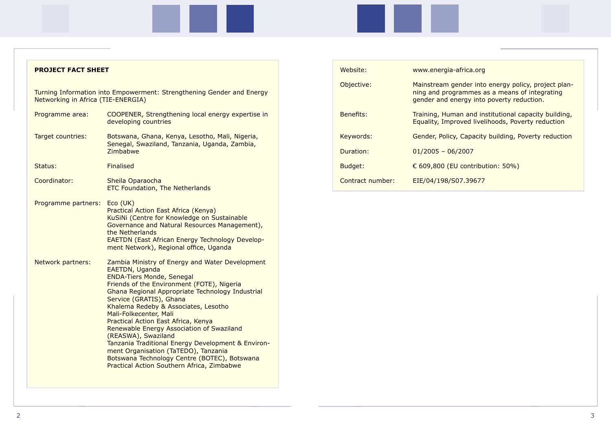| <b>PROJECT FACT SHEET</b>          |                                                                                                                                                                                                                                                                                                                                                                                                                                                                                                                                                                                                                    | Wel        |
|------------------------------------|--------------------------------------------------------------------------------------------------------------------------------------------------------------------------------------------------------------------------------------------------------------------------------------------------------------------------------------------------------------------------------------------------------------------------------------------------------------------------------------------------------------------------------------------------------------------------------------------------------------------|------------|
| Networking in Africa (TIE-ENERGIA) | Turning Information into Empowerment: Strengthening Gender and Energy                                                                                                                                                                                                                                                                                                                                                                                                                                                                                                                                              | Obj        |
| Programme area:                    | COOPENER, Strengthening local energy expertise in<br>developing countries                                                                                                                                                                                                                                                                                                                                                                                                                                                                                                                                          | <b>Ben</b> |
| Target countries:                  | Botswana, Ghana, Kenya, Lesotho, Mali, Nigeria,<br>Senegal, Swaziland, Tanzania, Uganda, Zambia,<br>Zimbabwe                                                                                                                                                                                                                                                                                                                                                                                                                                                                                                       | Key<br>Dur |
| Status:                            | <b>Finalised</b>                                                                                                                                                                                                                                                                                                                                                                                                                                                                                                                                                                                                   | <b>Bud</b> |
| Coordinator:                       | Sheila Oparaocha<br><b>ETC Foundation, The Netherlands</b>                                                                                                                                                                                                                                                                                                                                                                                                                                                                                                                                                         | Con        |
| Programme partners:                | $Eco$ (UK)<br>Practical Action East Africa (Kenya)<br>KuSiNi (Centre for Knowledge on Sustainable<br>Governance and Natural Resources Management),<br>the Netherlands<br><b>EAETDN (East African Energy Technology Develop-</b><br>ment Network), Regional office, Uganda                                                                                                                                                                                                                                                                                                                                          |            |
| Network partners:                  | Zambia Ministry of Energy and Water Development<br>EAETDN, Uganda<br><b>ENDA-Tiers Monde, Senegal</b><br>Friends of the Environment (FOTE), Nigeria<br>Ghana Regional Appropriate Technology Industrial<br>Service (GRATIS), Ghana<br>Khalema Redeby & Associates, Lesotho<br>Mali-Folkecenter, Mali<br>Practical Action East Africa, Kenya<br>Renewable Energy Association of Swaziland<br>(REASWA), Swaziland<br>Tanzania Traditional Energy Development & Environ-<br>ment Organisation (TaTEDO), Tanzania<br>Botswana Technology Centre (BOTEC), Botswana<br><b>Practical Action Southern Africa, Zimbabwe</b> |            |

| Website:         | www.energia-africa.org                                                                                                                            |
|------------------|---------------------------------------------------------------------------------------------------------------------------------------------------|
| Objective:       | Mainstream gender into energy policy, project plan-<br>ning and programmes as a means of integrating<br>gender and energy into poverty reduction. |
| Benefits:        | Training, Human and institutional capacity building,<br>Equality, Improved livelihoods, Poverty reduction                                         |
| Keywords:        | Gender, Policy, Capacity building, Poverty reduction                                                                                              |
| Duration:        | $01/2005 - 06/2007$                                                                                                                               |
| Budget:          | € 609,800 (EU contribution: 50%)                                                                                                                  |
| Contract number: | EIE/04/198/S07.39677                                                                                                                              |

### ica.org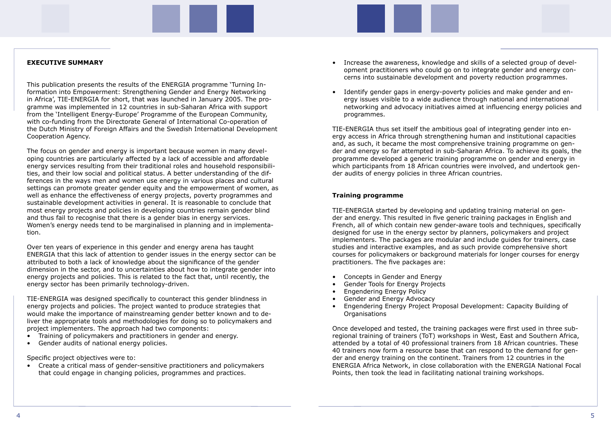#### **EXECUTIVE SUMMARY**

This publication presents the results of the ENERGIA programme 'Turning Information into Empowerment: Strengthening Gender and Energy Networking in Africa', TIE-ENERGIA for short, that was launched in January 2005. The programme was implemented in 12 countries in sub-Saharan Africa with support from the 'Intelligent Energy-Europe' Programme of the European Community, with co-funding from the Directorate General of International Co-operation of the Dutch Ministry of Foreign Affairs and the Swedish International Development Cooperation Agency.

The focus on gender and energy is important because women in many developing countries are particularly affected by a lack of accessible and affordable energy services resulting from their traditional roles and household responsibilities, and their low social and political status. A better understanding of the differences in the ways men and women use energy in various places and cultural settings can promote greater gender equity and the empowerment of women, as well as enhance the effectiveness of energy projects, poverty programmes and sustainable development activities in general. It is reasonable to conclude that most energy projects and policies in developing countries remain gender blind and thus fail to recognise that there is a gender bias in energy services. Women's energy needs tend to be marginalised in planning and in implementation.

Over ten years of experience in this gender and energy arena has taught ENERGIA that this lack of attention to gender issues in the energy sector can be attributed to both a lack of knowledge about the significance of the gender dimension in the sector, and to uncertainties about how to integrate gender into energy projects and policies. This is related to the fact that, until recently, the energy sector has been primarily technology-driven.

TIE-ENERGIA was designed specifically to counteract this gender blindness in energy projects and policies. The project wanted to produce strategies that would make the importance of mainstreaming gender better known and to deliver the appropriate tools and methodologies for doing so to policymakers and project implementers. The approach had two components:

- Training of policymakers and practitioners in gender and energy.
- Gender audits of national energy policies.

Specific project objectives were to:

• Create a critical mass of gender-sensitive practitioners and policymakers that could engage in changing policies, programmes and practices.

- Increase the awareness, knowledge and skills of a selected group of development practitioners who could go on to integrate gender and energy concerns into sustainable development and poverty reduction programmes.
- Identify gender gaps in energy-poverty policies and make gender and energy issues visible to a wide audience through national and international programmes.

networking and advocacy initiatives aimed at influencing energy policies and

TIE-ENERGIA thus set itself the ambitious goal of integrating gender into energy access in Africa through strengthening human and institutional capacities and, as such, it became the most comprehensive training programme on gender and energy so far attempted in sub-Saharan Africa. To achieve its goals, the programme developed a generic training programme on gender and energy in which participants from 18 African countries were involved, and undertook gender audits of energy policies in three African countries.

### **Training programme**

TIE-ENERGIA started by developing and updating training material on gender and energy. This resulted in five generic training packages in English and French, all of which contain new gender-aware tools and techniques, specifically designed for use in the energy sector by planners, policymakers and project implementers. The packages are modular and include guides for trainers, case studies and interactive examples, and as such provide comprehensive short courses for policymakers or background materials for longer courses for energy practitioners. The five packages are:

- Concepts in Gender and Energy
- Gender Tools for Energy Projects
- Engendering Energy Policy
- Gender and Energy Advocacy
- Engendering Energy Project Proposal Development: Capacity Building of Organisations

Once developed and tested, the training packages were first used in three subregional training of trainers (ToT) workshops in West, East and Southern Africa, attended by a total of 40 professional trainers from 18 African countries. These 40 trainers now form a resource base that can respond to the demand for gender and energy training on the continent. Trainers from 12 countries in the ENERGIA Africa Network, in close collaboration with the ENERGIA National Focal Points, then took the lead in facilitating national training workshops.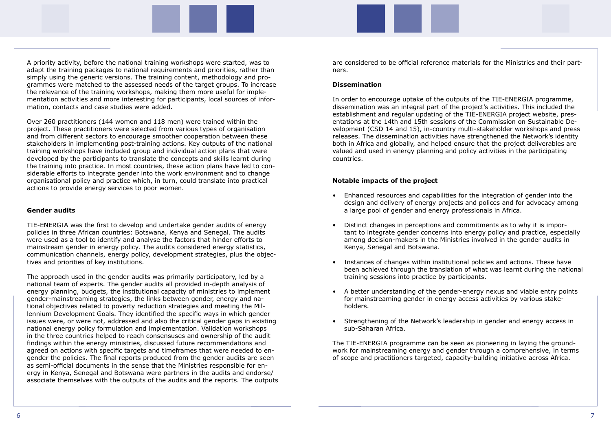A priority activity, before the national training workshops were started, was to adapt the training packages to national requirements and priorities, rather than simply using the generic versions. The training content, methodology and programmes were matched to the assessed needs of the target groups. To increase the relevance of the training workshops, making them more useful for implementation activities and more interesting for participants, local sources of information, contacts and case studies were added.

Over 260 practitioners (144 women and 118 men) were trained within the project. These practitioners were selected from various types of organisation and from different sectors to encourage smoother cooperation between these stakeholders in implementing post-training actions. Key outputs of the national training workshops have included group and individual action plans that were developed by the participants to translate the concepts and skills learnt during the training into practice. In most countries, these action plans have led to considerable efforts to integrate gender into the work environment and to change organisational policy and practice which, in turn, could translate into practical actions to provide energy services to poor women.

#### **Gender audits**

TIE-ENERGIA was the first to develop and undertake gender audits of energy policies in three African countries: Botswana, Kenya and Senegal. The audits were used as a tool to identify and analyse the factors that hinder efforts to mainstream gender in energy policy. The audits considered energy statistics, communication channels, energy policy, development strategies, plus the objectives and priorities of key institutions.

The approach used in the gender audits was primarily participatory, led by a national team of experts. The gender audits all provided in-depth analysis of energy planning, budgets, the institutional capacity of ministries to implement gender-mainstreaming strategies, the links between gender, energy and national objectives related to poverty reduction strategies and meeting the Millennium Development Goals. They identified the specific ways in which gender issues were, or were not, addressed and also the critical gender gaps in existing national energy policy formulation and implementation. Validation workshops in the three countries helped to reach consensuses and ownership of the audit findings within the energy ministries, discussed future recommendations and agreed on actions with specific targets and timeframes that were needed to engender the policies. The final reports produced from the gender audits are seen as semi-official documents in the sense that the Ministries responsible for energy in Kenya, Senegal and Botswana were partners in the audits and endorse/ associate themselves with the outputs of the audits and the reports. The outputs are considered to be official reference materials for the Ministries and their partners.

#### **Dissemination**

In order to encourage uptake of the outputs of the TIE-ENERGIA programme, dissemination was an integral part of the project's activities. This included the establishment and regular updating of the TIE-ENERGIA project website, presentations at the 14th and 15th sessions of the Commission on Sustainable Development (CSD 14 and 15), in-country multi-stakeholder workshops and press releases. The dissemination activities have strengthened the Network's identity both in Africa and globally, and helped ensure that the project deliverables are valued and used in energy planning and policy activities in the participating countries.

#### **Notable impacts of the project**

tant to integrate gender concerns into energy policy and practice, especially

- Enhanced resources and capabilities for the integration of gender into the design and delivery of energy projects and polices and for advocacy among a large pool of gender and energy professionals in Africa.
- Distinct changes in perceptions and commitments as to why it is imporamong decision-makers in the Ministries involved in the gender audits in Kenya, Senegal and Botswana.
- Instances of changes within institutional policies and actions. These have training sessions into practice by participants.
- A better understanding of the gender-energy nexus and viable entry points for mainstreaming gender in energy access activities by various stake holders.
- Strengthening of the Network's leadership in gender and energy access in sub-Saharan Africa.

been achieved through the translation of what was learnt during the national

The TIE-ENERGIA programme can be seen as pioneering in laying the groundwork for mainstreaming energy and gender through a comprehensive, in terms of scope and practitioners targeted, capacity-building initiative across Africa.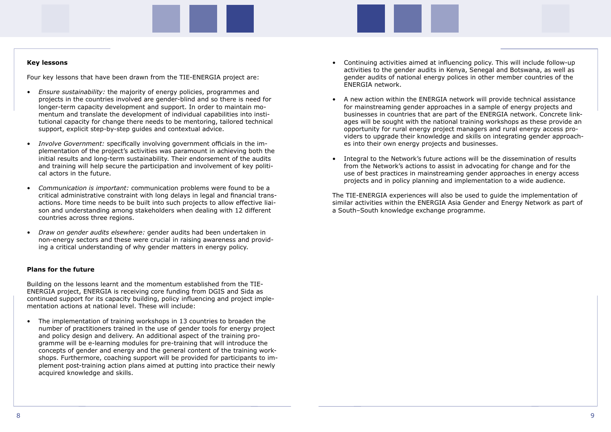#### **Key lessons**

Four key lessons that have been drawn from the TIE-ENERGIA project are:

- *Ensure sustainability:* the majority of energy policies, programmes and projects in the countries involved are gender-blind and so there is need for longer-term capacity development and support. In order to maintain momentum and translate the development of individual capabilities into institutional capacity for change there needs to be mentoring, tailored technical support, explicit step-by-step guides and contextual advice.
- *Involve Government:* specifically involving government officials in the implementation of the project's activities was paramount in achieving both the initial results and long-term sustainability. Their endorsement of the audits and training will help secure the participation and involvement of key political actors in the future.
- *Communication is important:* communication problems were found to be a critical administrative constraint with long delays in legal and financial transactions. More time needs to be built into such projects to allow effective liaison and understanding among stakeholders when dealing with 12 different countries across three regions.
- *Draw on gender audits elsewhere:* gender audits had been undertaken in non-energy sectors and these were crucial in raising awareness and providing a critical understanding of why gender matters in energy policy.

#### **Plans for the future**

Building on the lessons learnt and the momentum established from the TIE-ENERGIA project, ENERGIA is receiving core funding from DGIS and Sida as continued support for its capacity building, policy influencing and project implementation actions at national level. These will include:

• The implementation of training workshops in 13 countries to broaden the number of practitioners trained in the use of gender tools for energy project and policy design and delivery. An additional aspect of the training programme will be e-learning modules for pre-training that will introduce the concepts of gender and energy and the general content of the training workshops. Furthermore, coaching support will be provided for participants to implement post-training action plans aimed at putting into practice their newly acquired knowledge and skills.

- Continuing activities aimed at influencing policy. This will include follow-up activities to the gender audits in Kenya, Senegal and Botswana, as well as gender audits of national energy polices in other member countries of the ENERGIA network.
- A new action within the ENERGIA network will provide technical assistance for mainstreaming gender approaches in a sample of energy projects and opportunity for rural energy project managers and rural energy access proes into their own energy projects and businesses.
- Integral to the Network's future actions will be the dissemination of results from the Network's actions to assist in advocating for change and for the use of best practices in mainstreaming gender approaches in energy access projects and in policy planning and implementation to a wide audience.

businesses in countries that are part of the ENERGIA network. Concrete linkages will be sought with the national training workshops as these provide an viders to upgrade their knowledge and skills on integrating gender approach-

The TIE-ENERGIA experiences will also be used to guide the implementation of similar activities within the ENERGIA Asia Gender and Energy Network as part of a South–South knowledge exchange programme.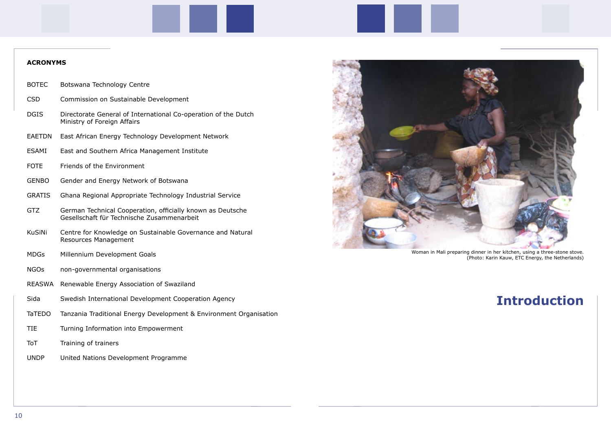## **Introduction**

Woman in Mali preparing dinner in her kitchen, using a three-stone stove. (Photo: Karin Kauw, ETC Energy, the Netherlands)

#### **ACRONYMS**

- BOTEC Botswana Technology Centre
- CSD Commission on Sustainable Development
- DGIS Directorate General of International Co-operation of the Dutch Ministry of Foreign Affairs
- EAETDN East African Energy Technology Development Network
- ESAMI East and Southern Africa Management Institute
- FOTE Friends of the Environment
- GENBO Gender and Energy Network of Botswana
- GRATIS Ghana Regional Appropriate Technology Industrial Service
- GTZ German Technical Cooperation, officially known as Deutsche Gesellschaft für Technische Zusammenarbeit
- KuSiNi Centre for Knowledge on Sustainable Governance and Natural Resources Management
- MDGs Millennium Development Goals
- NGOs non-governmental organisations
- REASWA Renewable Energy Association of Swaziland
- Sida Swedish International Development Cooperation Agency
- TaTEDO Tanzania Traditional Energy Development & Environment Organisation
- TIE Turning Information into Empowerment
- ToT Training of trainers
- UNDP United Nations Development Programme

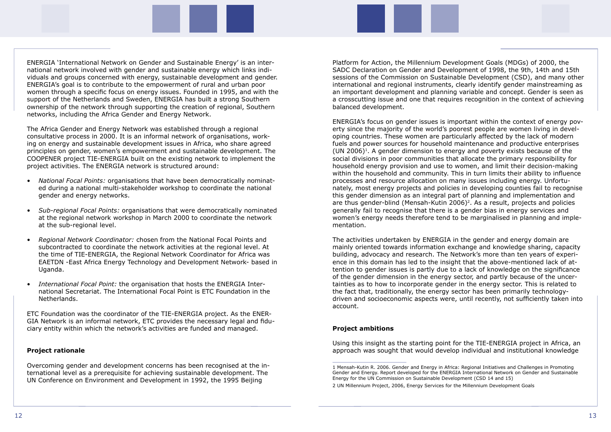ENERGIA 'International Network on Gender and Sustainable Energy' is an international network involved with gender and sustainable energy which links individuals and groups concerned with energy, sustainable development and gender. ENERGIA's goal is to contribute to the empowerment of rural and urban poor women through a specific focus on energy issues. Founded in 1995, and with the support of the Netherlands and Sweden, ENERGIA has built a strong Southern ownership of the network through supporting the creation of regional, Southern networks, including the Africa Gender and Energy Network.

The Africa Gender and Energy Network was established through a regional consultative process in 2000. It is an informal network of organisations, working on energy and sustainable development issues in Africa, who share agreed principles on gender, women's empowerment and sustainable development. The COOPENER project TIE-ENERGIA built on the existing network to implement the project activities. The ENERGIA network is structured around:

- *National Focal Points:* organisations that have been democratically nominated during a national multi-stakeholder workshop to coordinate the national gender and energy networks.
- *Sub-regional Focal Points:* organisations that were democratically nominated at the regional network workshop in March 2000 to coordinate the network at the sub-regional level.
- *Regional Network Coordinator:* chosen from the National Focal Points and subcontracted to coordinate the network activities at the regional level. At the time of TIE-ENERGIA, the Regional Network Coordinator for Africa was EAETDN -East Africa Energy Technology and Development Network- based in Uganda.
- *International Focal Point:* the organisation that hosts the ENERGIA International Secretariat. The International Focal Point is ETC Foundation in the Netherlands.

ETC Foundation was the coordinator of the TIE-ENERGIA project. As the ENER-GIA Network is an informal network, ETC provides the necessary legal and fiduciary entity within which the network's activities are funded and managed.

#### **Project rationale**

Overcoming gender and development concerns has been recognised at the international level as a prerequisite for achieving sustainable development. The UN Conference on Environment and Development in 1992, the 1995 Beijing

Platform for Action, the Millennium Development Goals (MDGs) of 2000, the SADC Declaration on Gender and Development of 1998, the 9th, 14th and 15th sessions of the Commission on Sustainable Development (CSD), and many other international and regional instruments, clearly identify gender mainstreaming as an important development and planning variable and concept. Gender is seen as a crosscutting issue and one that requires recognition in the context of achieving balanced development.

ENERGIA's focus on gender issues is important within the context of energy poverty since the majority of the world's poorest people are women living in developing countries. These women are particularly affected by the lack of modern fuels and power sources for household maintenance and productive enterprises (UN 2006)<sup>1</sup>. A gender dimension to energy and poverty exists because of the social divisions in poor communities that allocate the primary responsibility for household energy provision and use to women, and limit their decision-making within the household and community. This in turn limits their ability to influence processes and resource allocation on many issues including energy. Unfortunately, most energy projects and policies in developing counties fail to recognise this gender dimension as an integral part of planning and implementation and are thus gender-blind (Mensah-Kutin 2006)<sup>2</sup>. As a result, projects and policies generally fail to recognise that there is a gender bias in energy services and women's energy needs therefore tend to be marginalised in planning and implementation.

The activities undertaken by ENERGIA in the gender and energy domain are mainly oriented towards information exchange and knowledge sharing, capacity building, advocacy and research. The Network's more than ten years of experience in this domain has led to the insight that the above-mentioned lack of attention to gender issues is partly due to a lack of knowledge on the significance of the gender dimension in the energy sector, and partly because of the uncertainties as to how to incorporate gender in the energy sector. This is related to the fact that, traditionally, the energy sector has been primarily technologydriven and socioeconomic aspects were, until recently, not sufficiently taken into account.

#### **Project ambitions**

Using this insight as the starting point for the TIE-ENERGIA project in Africa, an approach was sought that would develop individual and institutional knowledge

<sup>1</sup> Mensah-Kutin R. 2006. Gender and Energy in Africa: Regional Initiatives and Challenges in Promoting Gender and Energy. Report developed for the ENERGIA International Network on Gender and Sustainable Energy for the UN Commission on Sustainable Development (CSD 14 and 15)

<sup>2</sup> UN Millennium Project, 2006, Energy Services for the Millennium Development Goals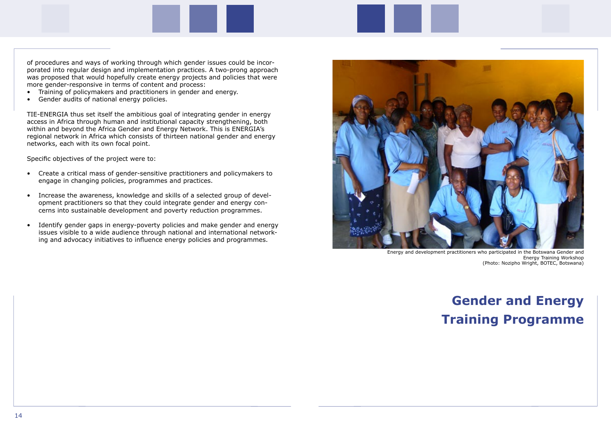of procedures and ways of working through which gender issues could be incorporated into regular design and implementation practices. A two-prong approach was proposed that would hopefully create energy projects and policies that were more gender-responsive in terms of content and process:

- Training of policymakers and practitioners in gender and energy.
- Gender audits of national energy policies.

TIE-ENERGIA thus set itself the ambitious goal of integrating gender in energy access in Africa through human and institutional capacity strengthening, both within and beyond the Africa Gender and Energy Network. This is ENERGIA's regional network in Africa which consists of thirteen national gender and energy networks, each with its own focal point.

Specific objectives of the project were to:

- Create a critical mass of gender-sensitive practitioners and policymakers to engage in changing policies, programmes and practices.
- Increase the awareness, knowledge and skills of a selected group of development practitioners so that they could integrate gender and energy concerns into sustainable development and poverty reduction programmes.
- Identify gender gaps in energy-poverty policies and make gender and energy issues visible to a wide audience through national and international networking and advocacy initiatives to influence energy policies and programmes.

# **Gender and Energy Training Programme**



Energy and development practitioners who participated in the Botswana Gender and Energy Training Workshop (Photo: Nozipho Wright, BOTEC, Botswana)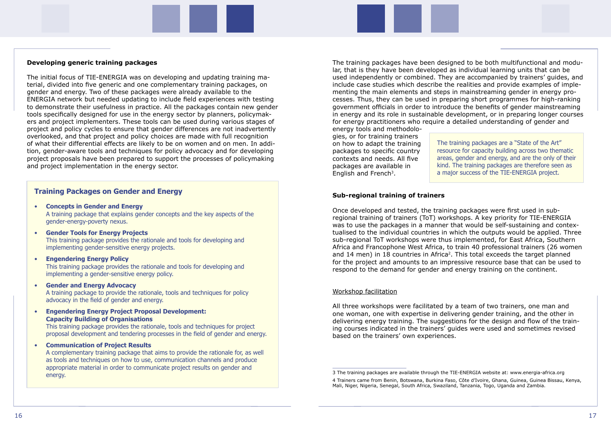#### **Developing generic training packages**

The initial focus of TIE-ENERGIA was on developing and updating training material, divided into five generic and one complementary training packages, on gender and energy. Two of these packages were already available to the ENERGIA network but needed updating to include field experiences with testing to demonstrate their usefulness in practice. All the packages contain new gender tools specifically designed for use in the energy sector by planners, policymakers and project implementers. These tools can be used during various stages of project and policy cycles to ensure that gender differences are not inadvertently overlooked, and that project and policy choices are made with full recognition of what their differential effects are likely to be on women and on men. In addition, gender-aware tools and techniques for policy advocacy and for developing project proposals have been prepared to support the processes of policymaking and project implementation in the energy sector.

### **Training Packages on Gender and Energy**

- **Concepts in Gender and Energy** A training package that explains gender concepts and the key aspects of the gender-energy-poverty nexus.
- **Gender Tools for Energy Projects** This training package provides the rationale and tools for developing and implementing gender-sensitive energy projects.
- **Engendering Energy Policy**

 This training package provides the rationale and tools for developing and implementing a gender-sensitive energy policy.

gies, or for training trainers on how to adapt the training packages to specific country contexts and needs. All five packages are available in English and French<sup>3</sup>.

• **Gender and Energy Advocacy**

 A training package to provide the rationale, tools and techniques for policy advocacy in the field of gender and energy.

• **Engendering Energy Project Proposal Development: Capacity Building of Organisations**

 This training package provides the rationale, tools and techniques for project proposal development and tendering processes in the field of gender and energy.

• **Communication of Project Results** A complementary training package that aims to provide the rationale for, as well as tools and techniques on how to use, communication channels and produce appropriate material in order to communicate project results on gender and energy.

The training packages have been designed to be both multifunctional and modular, that is they have been developed as individual learning units that can be used independently or combined. They are accompanied by trainers' guides, and include case studies which describe the realities and provide examples of implementing the main elements and steps in mainstreaming gender in energy processes. Thus, they can be used in preparing short programmes for high-ranking government officials in order to introduce the benefits of gender mainstreaming in energy and its role in sustainable development, or in preparing longer courses for energy practitioners who require a detailed understanding of gender and energy tools and methodolo-

#### **Sub-regional training of trainers**

Once developed and tested, the training packages were first used in subregional training of trainers (ToT) workshops. A key priority for TIE-ENERGIA was to use the packages in a manner that would be self-sustaining and contextualised to the individual countries in which the outputs would be applied. Three sub-regional ToT workshops were thus implemented, for East Africa, Southern Africa and Francophone West Africa, to train 40 professional trainers (26 women and 14 men) in 18 countries in Africa<sup>2</sup>. This total exceeds the target planned for the project and amounts to an impressive resource base that can be used to respond to the demand for gender and energy training on the continent.

#### Workshop facilitation

All three workshops were facilitated by a team of two trainers, one man and one woman, one with expertise in delivering gender training, and the other in delivering energy training. The suggestions for the design and flow of the training courses indicated in the trainers' guides were used and sometimes revised based on the trainers' own experiences.

The training packages are a "State of the Art" resource for capacity building across two thematic areas, gender and energy, and are the only of their kind. The training packages are therefore seen as a major success of the TIE-ENERGIA project.

<sup>3</sup> The training packages are available through the TIE-ENERGIA website at: www.energia-africa.org 4 Trainers came from Benin, Botswana, Burkina Faso, Côte d'Ivoire, Ghana, Guinea, Guinea Bissau, Kenya, Mali, Niger, Nigeria, Senegal, South Africa, Swaziland, Tanzania, Togo, Uganda and Zambia.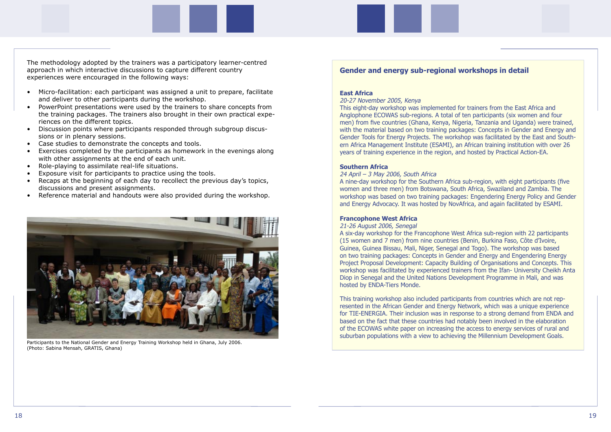The methodology adopted by the trainers was a participatory learner-centred approach in which interactive discussions to capture different country experiences were encouraged in the following ways:

- Micro-facilitation: each participant was assigned a unit to prepare, facilitate and deliver to other participants during the workshop.
- PowerPoint presentations were used by the trainers to share concepts from the training packages. The trainers also brought in their own practical experiences on the different topics.
- Discussion points where participants responded through subgroup discussions or in plenary sessions.
- Case studies to demonstrate the concepts and tools.
- Exercises completed by the participants as homework in the evenings along with other assignments at the end of each unit.
- Role-playing to assimilate real-life situations.
- Exposure visit for participants to practice using the tools.
- Recaps at the beginning of each day to recollect the previous day's topics, discussions and present assignments.
- Reference material and handouts were also provided during the workshop.

## **Gender and energy sub-regional workshops in detail**

#### **East Africa**

20-27 November 2005, Kenya

This eight-day workshop was implemented for trainers from the East Africa and Anglophone ECOWAS sub-regions. A total of ten participants (six women and four men) from five countries (Ghana, Kenya, Nigeria, Tanzania and Uganda) were trained, with the material based on two training packages: Concepts in Gender and Energy and Gender Tools for Energy Projects. The workshop was facilitated by the East and Southern Africa Management Institute (ESAMI), an African training institution with over 26 years of training experience in the region, and hosted by Practical Action-EA.

### **Southern Africa**

24 April – 3 May 2006, South Africa A nine-day workshop for the Southern Africa sub-region, with eight participants (five women and three men) from Botswana, South Africa, Swaziland and Zambia. The workshop was based on two training packages: Engendering Energy Policy and Gender and Energy Advocacy. It was hosted by NovAfrica, and again facilitated by ESAMI.

### **Francophone West Africa**

21-26 August 2006, Senegal

A six-day workshop for the Francophone West Africa sub-region with 22 participants (15 women and 7 men) from nine countries (Benin, Burkina Faso, Côte d'Ivoire, Guinea, Guinea Bissau, Mali, Niger, Senegal and Togo). The workshop was based on two training packages: Concepts in Gender and Energy and Engendering Energy Project Proposal Development: Capacity Building of Organisations and Concepts. This workshop was facilitated by experienced trainers from the Ifan- University Cheikh Anta Diop in Senegal and the United Nations Development Programme in Mali, and was hosted by ENDA-Tiers Monde.

This training workshop also included participants from countries which are not represented in the African Gender and Energy Network, which was a unique experience for TIE-ENERGIA. Their inclusion was in response to a strong demand from ENDA and based on the fact that these countries had notably been involved in the elaboration of the ECOWAS white paper on increasing the access to energy services of rural and suburban populations with a view to achieving the Millennium Development Goals.



Participants to the National Gender and Energy Training Workshop held in Ghana, July 2006. (Photo: Sabina Mensah, GRATIS, Ghana)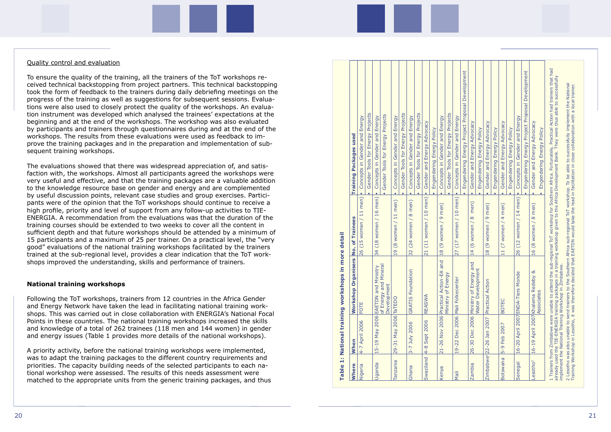#### Quality control and evaluation

To ensure the quality of the training, all the trainers of the ToT workshops re ceived technical backstopping from project partners. This technical backstopping took the form of feedback to the trainers during daily debriefing meetings on the progress of the training as well as suggestions for subsequent sessions. Evalua tions were also used to closely protect the quality of the workshops. An evalua tion instrument was developed which analysed the trainees' expectations at the beginning and at the end of the workshops. The workshop was also evaluated by participants and trainers through questionnaires during and at the end of the workshops. The results from these evaluations were used as feedback to im prove the training packages and in the preparation and implementation of sub sequent training workshops.

The evaluations showed that there was widespread appreciation of, and satis faction with, the workshops. Almost all participants agreed the workshops were very useful and effective, and that the training packages are a valuable addition to the knowledge resource base on gender and energy and are complemented by useful discussion points, relevant case studies and group exercises. Partici pants were of the opinion that the ToT workshops should continue to receive a high profile, priority and level of support from any follow-up activities to TIE-ENERGIA. A recommendation from the evaluations was that the duration of the training courses should be extended to two weeks to cover all the content in sufficient depth and that future workshops should be attended by a minimum of 15 participants and a maximum of 25 per trainer. On a practical level, the "very good" evaluations of the national training workshops facilitated by the trainers trained at the sub-regional level, provides a clear indication that the ToT work shops improved the understanding, skills and performance of trainers.

#### **National training workshops**

Following the ToT workshops, trainers from 12 countries in the Africa Gender and Energy Network have taken the lead in facilitating national training work shops. This was carried out in close collaboration with ENERGIA's National Focal Points in these countries. The national training workshops increased the skills and knowledge of a total of 262 trainees (118 men and 144 women) in gender and energy issues (Table 1 provides more details of the national workshops).

A priority activity, before the national training workshops were implemented, was to adapt the training packages to the different country requirements and priorities. The capacity building needs of the selected participants to each na tional workshop were assessed. The results of this needs assessment were matched to the appropriate units from the generic training packages, and thus

| <b>Where</b>         | When                                           | Workshop Organisers                    | No. of Trainees                            | <b>Training Packages used</b>                                                                                                                                                                                                                                                                                                                                     |
|----------------------|------------------------------------------------|----------------------------------------|--------------------------------------------|-------------------------------------------------------------------------------------------------------------------------------------------------------------------------------------------------------------------------------------------------------------------------------------------------------------------------------------------------------------------|
| Nigeria              | 4-7 April 2006                                 | FOTE                                   | men)<br>26 (15 women / 11                  | Energy<br>and<br>Gender<br>Concepts in                                                                                                                                                                                                                                                                                                                            |
|                      |                                                |                                        |                                            | Gender Tools for Energy Projects                                                                                                                                                                                                                                                                                                                                  |
| Uganda               | 15-19 May 2006 EAETDN and                      | Ministry                               | $(18$ women $/ 16$ men)<br>34              | Concepts in Gender and Energy<br>٠                                                                                                                                                                                                                                                                                                                                |
|                      |                                                | of Energy and Mineral<br>Development   |                                            | Gender Tools for Energy Projects                                                                                                                                                                                                                                                                                                                                  |
| Tanzania             | 29-31 May 2006 TaTEDO                          |                                        | 19 (8 women / 11 men)                      | Concepts in Gender and Energy<br>٠                                                                                                                                                                                                                                                                                                                                |
|                      |                                                |                                        |                                            | Projects<br>Gender Tools for Energy<br>٠                                                                                                                                                                                                                                                                                                                          |
| Ghana                | 3-7 July 2006                                  | <b>GRATIS Foundation</b>               | 8 men)<br>$(24$ women /<br>32              | Energy<br>Concepts in Gender and<br>٠                                                                                                                                                                                                                                                                                                                             |
|                      |                                                |                                        |                                            | Gender Tools for Energy Projects                                                                                                                                                                                                                                                                                                                                  |
| Swaziland            | Sept 2006<br>$4 - 8$                           | REASWA                                 | $(11$ women $/ 10$ men)<br>$\overline{21}$ | Gender and Energy Advocacy<br>٠                                                                                                                                                                                                                                                                                                                                   |
|                      |                                                |                                        |                                            | Engendering Energy Policy                                                                                                                                                                                                                                                                                                                                         |
| Kenya                |                                                | 21-26 Nov 2006 Practical Action-EA and | 9 men)<br>18 (9 women /                    | Concepts in Gender and Energy<br>٠                                                                                                                                                                                                                                                                                                                                |
|                      |                                                | lergy<br>Ministry of En                |                                            | Gender Tools for Energy Projects                                                                                                                                                                                                                                                                                                                                  |
| Nali                 |                                                | 19-22 Dec 2006 Mali Folkecenter        | 27 (17 women / 10 men)                     | Concepts in Gender and Energy                                                                                                                                                                                                                                                                                                                                     |
|                      |                                                |                                        |                                            | Engendering Energy Project Proposal Development                                                                                                                                                                                                                                                                                                                   |
| Zambia               | 26-30 Dec 2006 Ministry of En                  | ergy and                               | men)<br>14 (6 women / 8                    | Gender and Energy Advocacy<br>٠                                                                                                                                                                                                                                                                                                                                   |
|                      |                                                | Water Development                      |                                            | Engendering Energy Policy<br>٠                                                                                                                                                                                                                                                                                                                                    |
|                      | Zimbabwe <sup>1</sup> 22-26 Jan 2007           | Practical Action                       | 9 men)<br>$(9$ women /<br>$\frac{8}{18}$   | Gender and Energy Advocacy<br>٠                                                                                                                                                                                                                                                                                                                                   |
|                      |                                                |                                        |                                            | Engendering Energy Policy<br>٠                                                                                                                                                                                                                                                                                                                                    |
| Botswana             | 2007<br>$5-9$ Feb                              | <b>BOTEC</b>                           | 4 men)<br>$(7$ women /<br>$\overline{1}$   | Gender and Energy Advocacy<br>٠                                                                                                                                                                                                                                                                                                                                   |
|                      |                                                |                                        |                                            | Engendering Energy Policy                                                                                                                                                                                                                                                                                                                                         |
| Senegal              | 16-20 April 2007 ENDA-Tiers M                  | londe                                  | $(12$ women / $14$ men)<br>26              | Concepts in Gender and Energy<br>×                                                                                                                                                                                                                                                                                                                                |
|                      |                                                |                                        |                                            | Engendering Energy Project Proposal Development                                                                                                                                                                                                                                                                                                                   |
| Lesotho <sup>2</sup> | 16-19 April 2007 Khalema Red                   | eby &                                  | 16 (8 women / 8 men)                       | Gender and Energy Advocacy                                                                                                                                                                                                                                                                                                                                        |
|                      |                                                | Associates                             |                                            | Engendering Energy Policy                                                                                                                                                                                                                                                                                                                                         |
|                      |                                                |                                        |                                            | 1 Trainers from Zimbabwe were unable to attend the sub-regional ToT workshop for Southern Africa. Fortunately, Practical Action had trainers that had<br>already used the TIE-ENERGIA training packages in a training workshop given to the Africa Development Bank. They were thus able to successfully<br>implement the National Training Workshop in Zimbabwe. |
|                      | Training Workshop in Lesotho, it was therefore |                                        |                                            | 2 Lesotho was also unable to send trainers to the Southern Africa sub-regional ToT workshop. To be able to successfully implement the National<br>decided that EAETDN would take the lead in facilitation in close collaboration with a local trainer.                                                                                                            |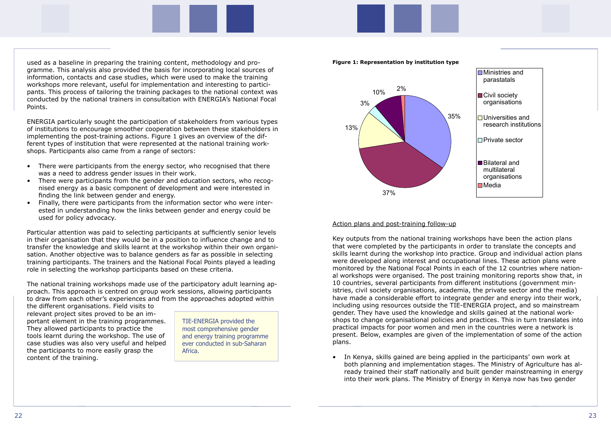used as a baseline in preparing the training content, methodology and programme. This analysis also provided the basis for incorporating local sources of information, contacts and case studies, which were used to make the training workshops more relevant, useful for implementation and interesting to participants. This process of tailoring the training packages to the national context was conducted by the national trainers in consultation with ENERGIA's National Focal Points.

ENERGIA particularly sought the participation of stakeholders from various types of institutions to encourage smoother cooperation between these stakeholders in implementing the post-training actions. Figure 1 gives an overview of the different types of institution that were represented at the national training workshops. Participants also came from a range of sectors:

- There were participants from the energy sector, who recognised that there was a need to address gender issues in their work.
- There were participants from the gender and education sectors, who recognised energy as a basic component of development and were interested in finding the link between gender and energy.
- Finally, there were participants from the information sector who were interested in understanding how the links between gender and energy could be used for policy advocacy.

Particular attention was paid to selecting participants at sufficiently senior levels in their organisation that they would be in a position to influence change and to transfer the knowledge and skills learnt at the workshop within their own organisation. Another objective was to balance genders as far as possible in selecting training participants. The trainers and the National Focal Points played a leading role in selecting the workshop participants based on these criteria.

The national training workshops made use of the participatory adult learning approach. This approach is centred on group work sessions, allowing participants to draw from each other's experiences and from the approaches adopted within

the different organisations. Field visits to relevant project sites proved to be an important element in the training programmes. They allowed participants to practice the tools learnt during the workshop. The use of case studies was also very useful and helped the participants to more easily grasp the content of the training.





**Figure 1: Representation by institution type**

Action plans and post-training follow-up

Key outputs from the national training workshops have been the action plans that were completed by the participants in order to translate the concepts and skills learnt during the workshop into practice. Group and individual action plans were developed along interest and occupational lines. These action plans were monitored by the National Focal Points in each of the 12 countries where national workshops were organised. The post training monitoring reports show that, in 10 countries, several participants from different institutions (government ministries, civil society organisations, academia, the private sector and the media) have made a considerable effort to integrate gender and energy into their work, including using resources outside the TIE-ENERGIA project, and so mainstream gender. They have used the knowledge and skills gained at the national workshops to change organisational policies and practices. This in turn translates into practical impacts for poor women and men in the countries were a network is present. Below, examples are given of the implementation of some of the action plans.

• In Kenya, skills gained are being applied in the participants' own work at into their work plans. The Ministry of Energy in Kenya now has two gender

both planning and implementation stages. The Ministry of Agriculture has already trained their staff nationally and built gender mainstreaming in energy

TIE-ENERGIA provided the most comprehensive gender and energy training programme ever conducted in sub-Saharan Africa.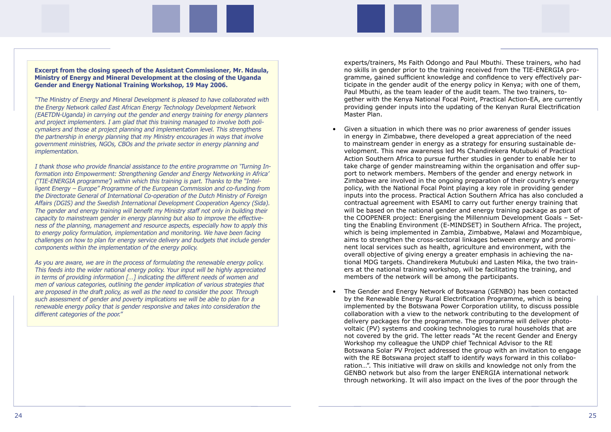**Excerpt from the closing speech of the Assistant Commissioner, Mr. Ndaula, Ministry of Energy and Mineral Development at the closing of the Uganda Gender and Energy National Training Workshop, 19 May 2006.** 

"The Ministry of Energy and Mineral Development is pleased to have collaborated with the Energy Network called East African Energy Technology Development Network (EAETDN-Uganda) in carrying out the gender and energy training for energy planners and project implementers. I am glad that this training managed to involve both policymakers and those at project planning and implementation level. This strengthens the partnership in energy planning that my Ministry encourages in ways that involve government ministries, NGOs, CBOs and the private sector in energy planning and implementation.

I thank those who provide financial assistance to the entire programme on 'Turning Information into Empowerment: Strengthening Gender and Energy Networking in Africa' ('TIE-ENERGIA programme') within which this training is part. Thanks to the "Intelligent Energy – Europe" Programme of the European Commission and co-funding from the Directorate General of International Co-operation of the Dutch Ministry of Foreign Affairs (DGIS) and the Swedish International Development Cooperation Agency (Sida). The gender and energy training will benefit my Ministry staff not only in building their capacity to mainstream gender in energy planning but also to improve the effectiveness of the planning, management and resource aspects, especially how to apply this to energy policy formulation, implementation and monitoring. We have been facing challenges on how to plan for energy service delivery and budgets that include gender components within the implementation of the energy policy.

As you are aware, we are in the process of formulating the renewable energy policy. This feeds into the wider national energy policy. Your input will be highly appreciated in terms of providing information [...] indicating the different needs of women and men of various categories, outlining the gender implication of various strategies that are proposed in the draft policy, as well as the need to consider the poor. Through such assessment of gender and poverty implications we will be able to plan for a renewable energy policy that is gender responsive and takes into consideration the different categories of the poor."

experts/trainers, Ms Faith Odongo and Paul Mbuthi. These trainers, who had no skills in gender prior to the training received from the TIE-ENERGIA programme, gained sufficient knowledge and confidence to very effectively participate in the gender audit of the energy policy in Kenya; with one of them, Paul Mbuthi, as the team leader of the audit team. The two trainers, together with the Kenya National Focal Point, Practical Action-EA, are currently providing gender inputs into the updating of the Kenyan Rural Electrification Master Plan.

take charge of gender mainstreaming within the organisation and offer sup-Zimbabwe are involved in the ongoing preparation of their country's energy inputs into the process. Practical Action Southern Africa has also concluded a will be based on the national gender and energy training package as part of the COOPENER project: Energising the Millennium Development Goals – Setting the Enabling Environment (E-MINDSET) in Southern Africa. The project, which is being implemented in Zambia, Zimbabwe, Malawi and Mozambique,

- Given a situation in which there was no prior awareness of gender issues in energy in Zimbabwe, there developed a great appreciation of the need to mainstream gender in energy as a strategy for ensuring sustainable development. This new awareness led Ms Chandirekera Mutubuki of Practical Action Southern Africa to pursue further studies in gender to enable her to port to network members. Members of the gender and energy network in policy, with the National Focal Point playing a key role in providing gender contractual agreement with ESAMI to carry out further energy training that aims to strengthen the cross-sectoral linkages between energy and prominent local services such as health, agriculture and environment, with the overall objective of giving energy a greater emphasis in achieving the national MDG targets. Chandirekera Mutubuki and Lasten Mika, the two trainers at the national training workshop, will be facilitating the training, and members of the network will be among the participants.
- The Gender and Energy Network of Botswana (GENBO) has been contacted by the Renewable Energy Rural Electrification Programme, which is being implemented by the Botswana Power Corporation utility, to discuss possible delivery packages for the programme. The programme will deliver photovoltaic (PV) systems and cooking technologies to rural households that are not covered by the grid. The letter reads "At the recent Gender and Energy Workshop my colleague the UNDP chief Technical Advisor to the RE with the RE Botswana project staff to identify ways forward in this collaboration…". This initiative will draw on skills and knowledge not only from the GENBO network but also from the larger ENERGIA international network through networking. It will also impact on the lives of the poor through the

collaboration with a view to the network contributing to the development of Botswana Solar PV Project addressed the group with an invitation to engage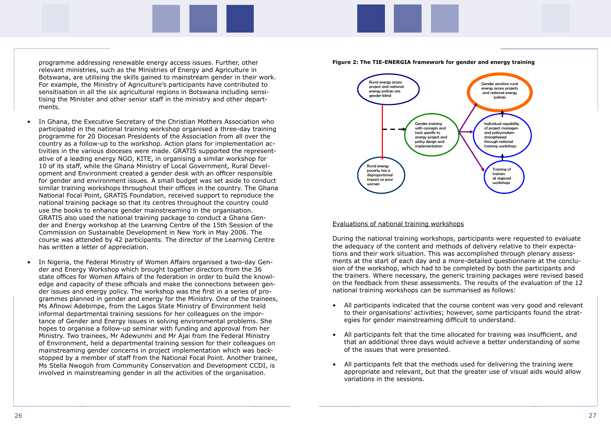programme addressing renewable energy access issues. Further, other relevant ministries, such as the Ministries of Energy and Agriculture in Botswana, are utilising the skills gained to mainstream gender in their work. For example, the Ministry of Agriculture's participants have contributed to sensitisation in all the six agricultural regions in Botswana including sensitising the Minister and other senior staff in the ministry and other departments.

- In Ghana, the Executive Secretary of the Christian Mothers Association who participated in the national training workshop organised a three-day training programme for 20 Diocesan Presidents of the Association from all over the country as a follow-up to the workshop. Action plans for implementation activities in the various dioceses were made. GRATIS supported the representative of a leading energy NGO, KITE, in organising a similar workshop for 10 of its staff, while the Ghana Ministry of Local Government, Rural Development and Environment created a gender desk with an officer responsible for gender and environment issues. A small budget was set aside to conduct similar training workshops throughout their offices in the country. The Ghana National Focal Point, GRATIS Foundation, received support to reproduce the national training package so that its centres throughout the country could use the books to enhance gender mainstreaming in the organisation. GRATIS also used the national training package to conduct a Ghana Gender and Energy workshop at the Learning Centre of the 15th Session of the Commission on Sustainable Development in New York in May 2006. The course was attended by 42 participants. The director of the Learning Centre has written a letter of appreciation.
- In Nigeria, the Federal Ministry of Women Affairs organised a two-day Gender and Energy Workshop which brought together directors from the 36 state offices for Women Affairs of the federation in order to build the knowledge and capacity of these officials and make the connections between gender issues and energy policy. The workshop was the first in a series of programmes planned in gender and energy for the Ministry. One of the trainees, Ms Afinowi Adebimpe, from the Lagos State Ministry of Environment held informal departmental training sessions for her colleagues on the importance of Gender and Energy issues in solving environmental problems. She hopes to organise a follow-up seminar with funding and approval from her Ministry. Two trainees, Mr Adewunmi and Mr Ajai from the Federal Ministry of Environment, held a departmental training session for their colleagues on mainstreaming gender concerns in project implementation which was backstopped by a member of staff from the National Focal Point. Another trainee, Ms Stella Nwogoh from Community Conservation and Development CCDI, is involved in mainstreaming gender in all the activities of the organisation.





#### Evaluations of national training workshops

During the national training workshops, participants were requested to evaluate the adequacy of the content and methods of delivery relative to their expectations and their work situation. This was accomplished through plenary assessments at the start of each day and a more-detailed questionnaire at the conclusion of the workshop, which had to be completed by both the participants and the trainers. Where necessary, the generic training packages were revised based on the feedback from these assessments. The results of the evaluation of the 12 national training workshops can be summarised as follows:

• All participants indicated that the course content was very good and relevant to their organisations' activities; however, some participants found the strat-

• All participants felt that the time allocated for training was insufficient, and that an additional three days would achieve a better understanding of some

- egies for gender mainstreaming difficult to understand.
- of the issues that were presented.
- All participants felt that the methods used for delivering the training were variations in the sessions.

appropriate and relevant, but that the greater use of visual aids would allow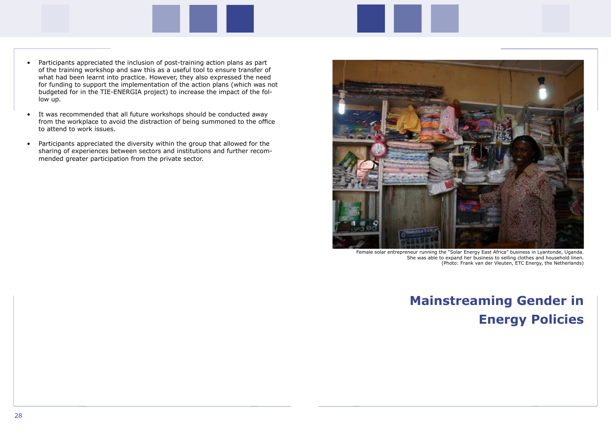- Participants appreciated the inclusion of post-training action plans as part of the training workshop and saw this as a useful tool to ensure transfer of what had been learnt into practice. However, they also expressed the need for funding to support the implementation of the action plans (which was not budgeted for in the TIE-ENERGIA project) to increase the impact of the follow up.
- It was recommended that all future workshops should be conducted away from the workplace to avoid the distraction of being summoned to the office to attend to work issues.
- Participants appreciated the diversity within the group that allowed for the sharing of experiences between sectors and institutions and further recommended greater participation from the private sector.



# **Mainstreaming Gender in Energy Policies**

Female solar entrepreneur running the "Solar Energy East Africa" business in Lyantonde, Uganda. She was able to expand her business to selling clothes and household linen. (Photo: Frank van der Vleuten, ETC Energy, the Netherlands)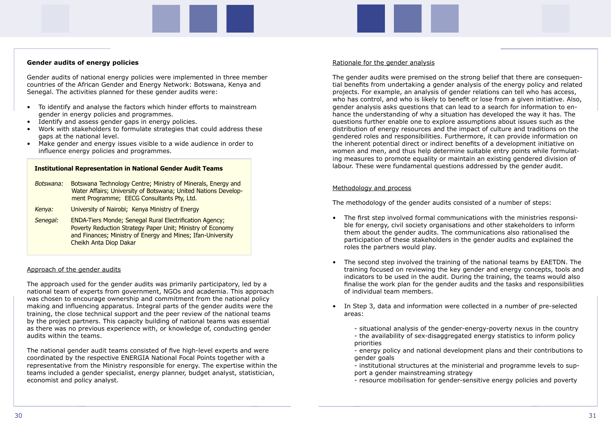#### **Gender audits of energy policies**

Gender audits of national energy policies were implemented in three member countries of the African Gender and Energy Network: Botswana, Kenya and Senegal. The activities planned for these gender audits were:

- To identify and analyse the factors which hinder efforts to mainstream gender in energy policies and programmes.
- Identify and assess gender gaps in energy policies.
- Work with stakeholders to formulate strategies that could address these gaps at the national level.
- Make gender and energy issues visible to a wide audience in order to influence energy policies and programmes.

#### Approach of the gender audits

The approach used for the gender audits was primarily participatory, led by a national team of experts from government, NGOs and academia. This approach was chosen to encourage ownership and commitment from the national policy making and influencing apparatus. Integral parts of the gender audits were the training, the close technical support and the peer review of the national teams by the project partners. This capacity building of national teams was essential as there was no previous experience with, or knowledge of, conducting gender audits within the teams.

The national gender audit teams consisted of five high-level experts and were coordinated by the respective ENERGIA National Focal Points together with a representative from the Ministry responsible for energy. The expertise within the teams included a gender specialist, energy planner, budget analyst, statistician, economist and policy analyst.

#### Rationale for the gender analysis

The gender audits were premised on the strong belief that there are consequential benefits from undertaking a gender analysis of the energy policy and related projects. For example, an analysis of gender relations can tell who has access, who has control, and who is likely to benefit or lose from a given initiative. Also, gender analysis asks questions that can lead to a search for information to enhance the understanding of why a situation has developed the way it has. The questions further enable one to explore assumptions about issues such as the distribution of energy resources and the impact of culture and traditions on the gendered roles and responsibilities. Furthermore, it can provide information on the inherent potential direct or indirect benefits of a development initiative on women and men, and thus help determine suitable entry points while formulating measures to promote equality or maintain an existing gendered division of labour. These were fundamental questions addressed by the gender audit.

#### Methodology and process

The methodology of the gender audits consisted of a number of steps:

training focused on reviewing the key gender and energy concepts, tools and indicators to be used in the audit. During the training, the teams would also finalise the work plan for the gender audits and the tasks and responsibilities

- The first step involved formal communications with the ministries responsible for energy, civil society organisations and other stakeholders to inform them about the gender audits. The communications also rationalised the participation of these stakeholders in the gender audits and explained the roles the partners would play.
- The second step involved the training of the national teams by EAETDN. The of individual team members.
- In Step 3, data and information were collected in a number of pre-selected areas:
	-
	- priorities
	- gender goals
	- port a gender mainstreaming strategy

 - situational analysis of the gender-energy-poverty nexus in the country - the availability of sex-disaggregated energy statistics to inform policy

- energy policy and national development plans and their contributions to

- institutional structures at the ministerial and programme levels to sup-

- resource mobilisation for gender-sensitive energy policies and poverty

|           | <b>Institutional Representation in National Gender Audit Teams</b>                                                                                                                                                    |  |
|-----------|-----------------------------------------------------------------------------------------------------------------------------------------------------------------------------------------------------------------------|--|
| Botswana: | Botswana Technology Centre; Ministry of Minerals, Energy and<br>Water Affairs; University of Botswana; United Nations Develop-<br>ment Programme; EECG Consultants Pty, Ltd.                                          |  |
| Kenya:    | University of Nairobi; Kenya Ministry of Energy                                                                                                                                                                       |  |
| Senegal:  | <b>ENDA-Tiers Monde; Senegal Rural Electrification Agency;</b><br>Poverty Reduction Strategy Paper Unit; Ministry of Economy<br>and Finances; Ministry of Energy and Mines; Ifan-University<br>Cheikh Anta Diop Dakar |  |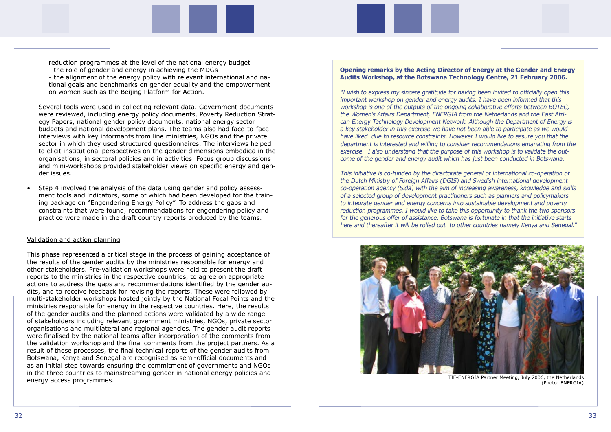reduction programmes at the level of the national energy budget - the role of gender and energy in achieving the MDGs - the alignment of the energy policy with relevant international and national goals and benchmarks on gender equality and the empowerment

on women such as the Beijing Platform for Action.

 Several tools were used in collecting relevant data. Government documents were reviewed, including energy policy documents, Poverty Reduction Strategy Papers, national gender policy documents, national energy sector budgets and national development plans. The teams also had face-to-face interviews with key informants from line ministries, NGOs and the private sector in which they used structured questionnaires. The interviews helped to elicit institutional perspectives on the gender dimensions embodied in the organisations, in sectoral policies and in activities. Focus group discussions and mini-workshops provided stakeholder views on specific energy and gender issues.

• Step 4 involved the analysis of the data using gender and policy assessment tools and indicators, some of which had been developed for the training package on "Engendering Energy Policy". To address the gaps and constraints that were found, recommendations for engendering policy and practice were made in the draft country reports produced by the teams.

#### Validation and action planning

This phase represented a critical stage in the process of gaining acceptance of the results of the gender audits by the ministries responsible for energy and other stakeholders. Pre-validation workshops were held to present the draft reports to the ministries in the respective countries, to agree on appropriate actions to address the gaps and recommendations identified by the gender audits, and to receive feedback for revising the reports. These were followed by multi-stakeholder workshops hosted jointly by the National Focal Points and the ministries responsible for energy in the respective countries. Here, the results of the gender audits and the planned actions were validated by a wide range of stakeholders including relevant government ministries, NGOs, private sector organisations and multilateral and regional agencies. The gender audit reports were finalised by the national teams after incorporation of the comments from the validation workshop and the final comments from the project partners. As a result of these processes, the final technical reports of the gender audits from Botswana, Kenya and Senegal are recognised as semi-official documents and as an initial step towards ensuring the commitment of governments and NGOs in the three countries to mainstreaming gender in national energy policies and energy access programmes.

#### **Opening remarks by the Acting Director of Energy at the Gender and Energy Audits Workshop, at the Botswana Technology Centre, 21 February 2006.**

"I wish to express my sincere gratitude for having been invited to officially open this important workshop on gender and energy audits. I have been informed that this workshop is one of the outputs of the ongoing collaborative efforts between BOTEC, the Women's Affairs Department, ENERGIA from the Netherlands and the East African Energy Technology Development Network. Although the Department of Energy is a key stakeholder in this exercise we have not been able to participate as we would have liked due to resource constraints. However I would like to assure you that the department is interested and willing to consider recommendations emanating from the exercise. I also understand that the purpose of this workshop is to validate the outcome of the gender and energy audit which has just been conducted in Botswana.

This initiative is co-funded by the directorate general of international co-operation of the Dutch Ministry of Foreign Affairs (DGIS) and Swedish international development co-operation agency (Sida) with the aim of increasing awareness, knowledge and skills of a selected group of development practitioners such as planners and policymakers to integrate gender and energy concerns into sustainable development and poverty reduction programmes. I would like to take this opportunity to thank the two sponsors for the generous offer of assistance. Botswana is fortunate in that the initiative starts here and thereafter it will be rolled out to other countries namely Kenya and Senegal."



TIE-ENERGIA Partner Meeting, July 2006, the Netherlands (Photo: ENERGIA)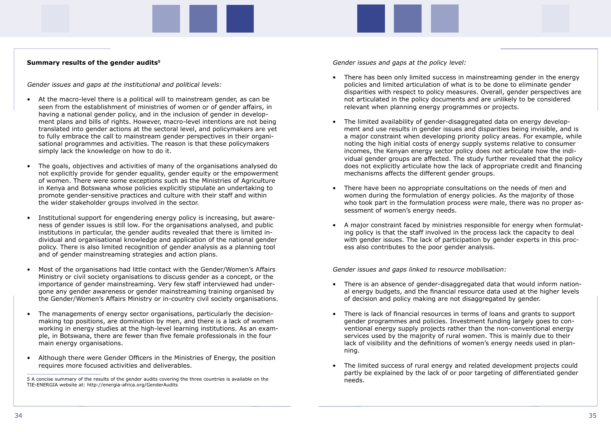#### **Summary results of the gender audits5**

Gender issues and gaps at the institutional and political levels:

- At the macro-level there is a political will to mainstream gender, as can be seen from the establishment of ministries of women or of gender affairs, in having a national gender policy, and in the inclusion of gender in development plans and bills of rights. However, macro-level intentions are not being translated into gender actions at the sectoral level, and policymakers are yet to fully embrace the call to mainstream gender perspectives in their organisational programmes and activities. The reason is that these policymakers simply lack the knowledge on how to do it.
- The goals, objectives and activities of many of the organisations analysed do not explicitly provide for gender equality, gender equity or the empowerment of women. There were some exceptions such as the Ministries of Agriculture in Kenya and Botswana whose policies explicitly stipulate an undertaking to promote gender-sensitive practices and culture with their staff and within the wider stakeholder groups involved in the sector.
- Institutional support for engendering energy policy is increasing, but awareness of gender issues is still low. For the organisations analysed, and public institutions in particular, the gender audits revealed that there is limited individual and organisational knowledge and application of the national gender policy. There is also limited recognition of gender analysis as a planning tool and of gender mainstreaming strategies and action plans.
- Most of the organisations had little contact with the Gender/Women's Affairs Ministry or civil society organisations to discuss gender as a concept, or the importance of gender mainstreaming. Very few staff interviewed had undergone any gender awareness or gender mainstreaming training organised by the Gender/Women's Affairs Ministry or in-country civil society organisations.
- The managements of energy sector organisations, particularly the decisionmaking top positions, are domination by men, and there is a lack of women working in energy studies at the high-level learning institutions. As an example, in Botswana, there are fewer than five female professionals in the four main energy organisations.
- Although there were Gender Officers in the Ministries of Energy, the position requires more focused activities and deliverables.

Gender issues and gaps at the policy level:

disparities with respect to policy measures. Overall, gender perspectives are

a major constraint when developing priority policy areas. For example, while vidual gender groups are affected. The study further revealed that the policy does not explicitly articulate how the lack of appropriate credit and financing

who took part in the formulation process were male, there was no proper as-

- There has been only limited success in mainstreaming gender in the energy policies and limited articulation of what is to be done to eliminate gender not articulated in the policy documents and are unlikely to be considered relevant when planning energy programmes or projects.
- The limited availability of gender-disaggregated data on energy development and use results in gender issues and disparities being invisible, and is noting the high initial costs of energy supply systems relative to consumer incomes, the Kenyan energy sector policy does not articulate how the indimechanisms affects the different gender groups.
- There have been no appropriate consultations on the needs of men and women during the formulation of energy policies. As the majority of those sessment of women's energy needs.
- A major constraint faced by ministries responsible for energy when formulating policy is that the staff involved in the process lack the capacity to deal with gender issues. The lack of participation by gender experts in this process also contributes to the poor gender analysis.

Gender issues and gaps linked to resource mobilisation:

- There is an absence of gender-disaggregated data that would inform national energy budgets, and the financial resource data used at the higher levels of decision and policy making are not disaggregated by gender.
- There is lack of financial resources in terms of loans and grants to support gender programmes and policies. Investment funding largely goes to conventional energy supply projects rather than the non-conventional energy services used by the majority of rural women. This is mainly due to their lack of visibility and the definitions of women's energy needs used in planning.
- The limited success of rural energy and related development projects could partly be explained by the lack of or poor targeting of differentiated gender

<sup>5</sup> A concise summary of the results of the gender audits covering the three countries is available on the meets TIE-ENERGIA website at: <http://energia-africa.org/GenderAudits>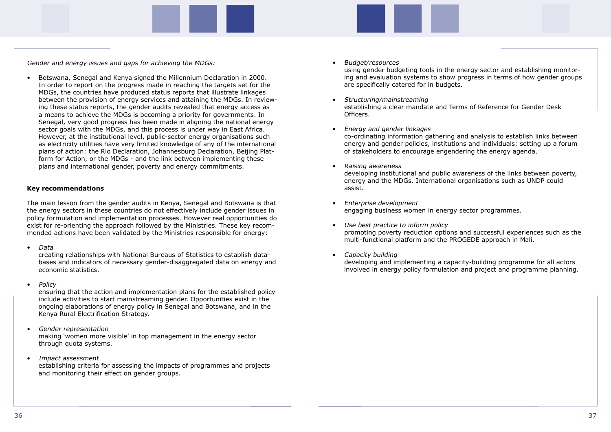Gender and energy issues and gaps for achieving the MDGs:

• Botswana, Senegal and Kenya signed the Millennium Declaration in 2000. In order to report on the progress made in reaching the targets set for the MDGs, the countries have produced status reports that illustrate linkages between the provision of energy services and attaining the MDGs. In reviewing these status reports, the gender audits revealed that energy access as a means to achieve the MDGs is becoming a priority for governments. In Senegal, very good progress has been made in aligning the national energy sector goals with the MDGs, and this process is under way in East Africa. However, at the institutional level, public-sector energy organisations such as electricity utilities have very limited knowledge of any of the international plans of action: the Rio Declaration, Johannesburg Declaration, Beijing Platform for Action, or the MDGs - and the link between implementing these plans and international gender, poverty and energy commitments.

#### **Key recommendations**

The main lesson from the gender audits in Kenya, Senegal and Botswana is that the energy sectors in these countries do not effectively include gender issues in policy formulation and implementation processes. However real opportunities do exist for re-orienting the approach followed by the Ministries. These key recommended actions have been validated by the Ministries responsible for energy:

• Data

 creating relationships with National Bureaus of Statistics to establish databases and indicators of necessary gender-disaggregated data on energy and economic statistics.

• Policy

 ensuring that the action and implementation plans for the established policy include activities to start mainstreaming gender. Opportunities exist in the ongoing elaborations of energy policy in Senegal and Botswana, and in the Kenya Rural Electrification Strategy.

- Gender representation making 'women more visible' in top management in the energy sector through quota systems.
- Impact assessment establishing criteria for assessing the impacts of programmes and projects and monitoring their effect on gender groups.

 using gender budgeting tools in the energy sector and establishing monitoring and evaluation systems to show progress in terms of how gender groups

- Budget/resources are specifically catered for in budgets.
- Structuring/mainstreaming establishing a clear mandate and Terms of Reference for Gender Desk Officers.
- Energy and gender linkages co-ordinating information gathering and analysis to establish links between energy and gender policies, institutions and individuals; setting up a forum of stakeholders to encourage engendering the energy agenda.
- Raising awareness developing institutional and public awareness of the links between poverty, energy and the MDGs. International organisations such as UNDP could assist.
- Enterprise development engaging business women in energy sector programmes.
- Use best practice to inform policy multi-functional platform and the PROGEDE approach in Mali.
- Capacity building developing and implementing a capacity-building programme for all actors involved in energy policy formulation and project and programme planning.

promoting poverty reduction options and successful experiences such as the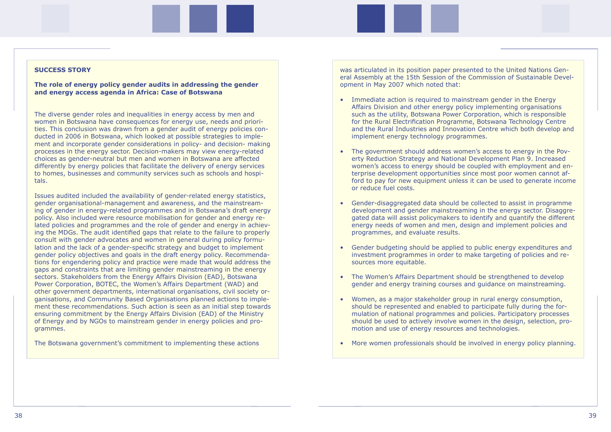#### **SUCCESS STORY**

#### **The role of energy policy gender audits in addressing the gender and energy access agenda in Africa: Case of Botswana**

The diverse gender roles and inequalities in energy access by men and women in Botswana have consequences for energy use, needs and priorities. This conclusion was drawn from a gender audit of energy policies conducted in 2006 in Botswana, which looked at possible strategies to implement and incorporate gender considerations in policy- and decision- making processes in the energy sector. Decision-makers may view energy-related choices as gender-neutral but men and women in Botswana are affected differently by energy policies that facilitate the delivery of energy services to homes, businesses and community services such as schools and hospitals.

Issues audited included the availability of gender-related energy statistics, gender organisational-management and awareness, and the mainstreaming of gender in energy-related programmes and in Botswana's draft energy policy. Also included were resource mobilisation for gender and energy related policies and programmes and the role of gender and energy in achieving the MDGs. The audit identified gaps that relate to the failure to properly consult with gender advocates and women in general during policy formulation and the lack of a gender-specific strategy and budget to implement gender policy objectives and goals in the draft energy policy. Recommendations for engendering policy and practice were made that would address the gaps and constraints that are limiting gender mainstreaming in the energy sectors. Stakeholders from the Energy Affairs Division (EAD), Botswana Power Corporation, BOTEC, the Women's Affairs Department (WAD) and other government departments, international organisations, civil society organisations, and Community Based Organisations planned actions to implement these recommendations. Such action is seen as an initial step towards ensuring commitment by the Energy Affairs Division (EAD) of the Ministry of Energy and by NGOs to mainstream gender in energy policies and programmes.

The Botswana government's commitment to implementing these actions

was articulated in its position paper presented to the United Nations General Assembly at the 15th Session of the Commission of Sustainable Development in May 2007 which noted that:

and the Rural Industries and Innovation Centre which both develop and

women's access to energy should be coupled with employment and enford to pay for new equipment unless it can be used to generate income

- Immediate action is required to mainstream gender in the Energy Affairs Division and other energy policy implementing organisations such as the utility, Botswana Power Corporation, which is responsible for the Rural Electrification Programme, Botswana Technology Centre implement energy technology programmes.
- The government should address women's access to energy in the Poverty Reduction Strategy and National Development Plan 9. Increased terprise development opportunities since most poor women cannot afor reduce fuel costs.
- Gender-disaggregated data should be collected to assist in programme energy needs of women and men, design and implement policies and programmes, and evaluate results.
- Gender budgeting should be applied to public energy expenditures and investment programmes in order to make targeting of policies and resources more equitable.
- The Women's Affairs Department should be strengthened to develop gender and energy training courses and guidance on mainstreaming.
- Women, as a major stakeholder group in rural energy consumption, should be represented and enabled to participate fully during the formulation of national programmes and policies. Participatory processes should be used to actively involve women in the design, selection, promotion and use of energy resources and technologies.
- More women professionals should be involved in energy policy planning.

development and gender mainstreaming in the energy sector. Disaggregated data will assist policymakers to identify and quantify the different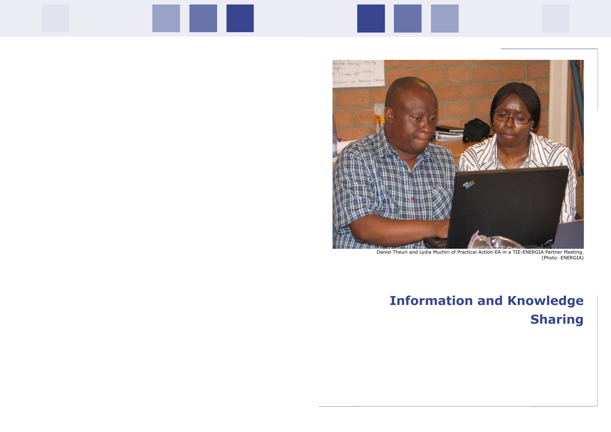

# **Information and Knowledge Sharing**

Daniel Theuri and Lydia Muchiri of Practical Action-EA in a TIE-ENERGIA Partner Meeting. (Photo: ENERGIA)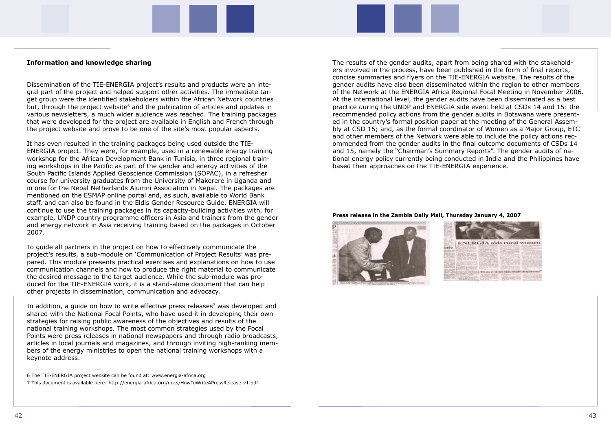#### **Information and knowledge sharing**

Dissemination of the TIE-ENERGIA project's results and products were an integral part of the project and helped support other activities. The immediate target group were the identified stakeholders within the African Network countries but, through the project website<sup>6</sup> and the publication of articles and updates in various newsletters, a much wider audience was reached. The training packages that were developed for the project are available in English and French through the project website and prove to be one of the site's most popular aspects.

It has even resulted in the training packages being used outside the TIE-ENERGIA project. They were, for example, used in a renewable energy training workshop for the African Development Bank in Tunisia, in three regional training workshops in the Pacific as part of the gender and energy activities of the South Pacific Islands Applied Geoscience Commission (SOPAC), in a refresher course for university graduates from the University of Makerere in Uganda and in one for the Nepal Netherlands Alumni Association in Nepal. The packages are mentioned on the ESMAP online portal and, as such, available to World Bank staff, and can also be found in the Eldis Gender Resource Guide. ENERGIA will continue to use the training packages in its capacity-building activities with, for example, UNDP country programme officers in Asia and trainers from the gender and energy network in Asia receiving training based on the packages in October 2007.

In addition, a guide on how to write effective press releases<sup>7</sup> was developed and shared with the National Focal Points, who have used it in developing their own strategies for raising public awareness of the objectives and results of the national training workshops. The most common strategies used by the Focal Points were press releases in national newspapers and through radio broadcasts, articles in local journals and magazines, and through inviting high-ranking members of the energy ministries to open the national training workshops with a keynote address.

To guide all partners in the project on how to effectively communicate the project's results, a sub-module on 'Communication of Project Results' was prepared. This module presents practical exercises and explanations on how to use communication channels and how to produce the right material to communicate the desired message to the target audience. While the sub-module was produced for the TIE-ENERGIA work, it is a stand-alone document that can help other projects in dissemination, communication and advocacy.

The results of the gender audits, apart from being shared with the stakeholders involved in the process, have been published in the form of final reports, concise summaries and flyers on the TIE-ENERGIA website. The results of the gender audits have also been disseminated within the region to other members of the Network at the ENERGIA Africa Regional Focal Meeting in November 2006. At the international level, the gender audits have been disseminated as a best practice during the UNDP and ENERGIA side event held at CSDs 14 and 15: the recommended policy actions from the gender audits in Botswana were presented in the country's formal position paper at the meeting of the General Assembly at CSD 15; and, as the formal coordinator of Women as a Major Group, ETC and other members of the Network were able to include the policy actions recommended from the gender audits in the final outcome documents of CSDs 14 and 15, namely the "Chairman's Summary Reports". The gender audits of national energy policy currently being conducted in India and the Philippines have based their approaches on the TIE-ENERGIA experience.

#### **Press release in the Zambia Daily Mail, Thursday January 4, 2007**





<sup>6</sup> The TIE-ENERGIA project website can be found at: www.energia-africa.org

<sup>7</sup> This document is available here: http://energia-africa.org/docs/HowToWriteAPressRelease-v1.pdf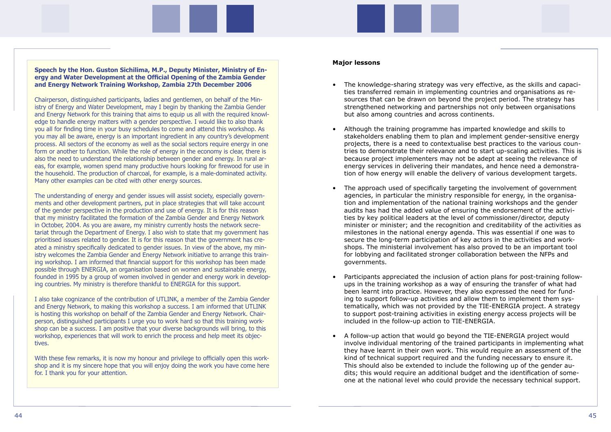**Speech by the Hon. Guston Sichilima, M.P., Deputy Minister, Ministry of Energy and Water Development at the Official Opening of the Zambia Gender and Energy Network Training Workshop, Zambia 27th December 2006**

Chairperson, distinguished participants, ladies and gentlemen, on behalf of the Ministry of Energy and Water Development, may I begin by thanking the Zambia Gender and Energy Network for this training that aims to equip us all with the required knowledge to handle energy matters with a gender perspective. I would like to also thank you all for finding time in your busy schedules to come and attend this workshop. As you may all be aware, energy is an important ingredient in any country's development process. All sectors of the economy as well as the social sectors require energy in one form or another to function. While the role of energy in the economy is clear, there is also the need to understand the relationship between gender and energy. In rural areas, for example, women spend many productive hours looking for firewood for use in the household. The production of charcoal, for example, is a male-dominated activity. Many other examples can be cited with other energy sources.

With these few remarks, it is now my honour and privilege to officially open this workshop and it is my sincere hope that you will enjoy doing the work you have come here for. I thank you for your attention.

The understanding of energy and gender issues will assist society, especially governments and other development partners, put in place strategies that will take account of the gender perspective in the production and use of energy. It is for this reason that my ministry facilitated the formation of the Zambia Gender and Energy Network in October, 2004. As you are aware, my ministry currently hosts the network secretariat through the Department of Energy. I also wish to state that my government has prioritised issues related to gender. It is for this reason that the government has created a ministry specifically dedicated to gender issues. In view of the above, my ministry welcomes the Zambia Gender and Energy Network initiative to arrange this training workshop. I am informed that financial support for this workshop has been made possible through ENERGIA, an organisation based on women and sustainable energy, founded in 1995 by a group of women involved in gender and energy work in developing countries. My ministry is therefore thankful to ENERGIA for this support.

I also take cognizance of the contribution of UTLINK, a member of the Zambia Gender and Energy Network, to making this workshop a success. I am informed that UTLINK is hosting this workshop on behalf of the Zambia Gender and Energy Network. Chairperson, distinguished participants I urge you to work hard so that this training workshop can be a success. I am positive that your diverse backgrounds will bring, to this workshop, experiences that will work to enrich the process and help meet its objectives.

#### **Major lessons**

projects, there is a need to contextualise best practices to the various countries to demonstrate their relevance and to start up-scaling activities. This is

minister or minister; and the recognition and creditability of the activities as

- The knowledge-sharing strategy was very effective, as the skills and capacities transferred remain in implementing countries and organisations as resources that can be drawn on beyond the project period. The strategy has strengthened networking and partnerships not only between organisations but also among countries and across continents.
- Although the training programme has imparted knowledge and skills to stakeholders enabling them to plan and implement gender-sensitive energy because project implementers may not be adept at seeing the relevance of energy services in delivering their mandates, and hence need a demonstration of how energy will enable the delivery of various development targets.
- The approach used of specifically targeting the involvement of government agencies, in particular the ministry responsible for energy, in the organisation and implementation of the national training workshops and the gender audits has had the added value of ensuring the endorsement of the activities by key political leaders at the level of commissioner/director, deputy milestones in the national energy agenda. This was essential if one was to secure the long-term participation of key actors in the activities and workshops. The ministerial involvement has also proved to be an important tool for lobbying and facilitated stronger collaboration between the NFPs and governments.
- ups in the training workshop as a way of ensuring the transfer of what had been learnt into practice. However, they also expressed the need for funding to support follow-up activities and allow them to implement them systo support post-training activities in existing energy access projects will be included in the follow-up action to TIE-ENERGIA.
- A follow-up action that would go beyond the TIE-ENERGIA project would kind of technical support required and the funding necessary to ensure it. This should also be extended to include the following up of the gender audits; this would require an additional budget and the identification of someone at the national level who could provide the necessary technical support.

• Participants appreciated the inclusion of action plans for post-training followtematically, which was not provided by the TIE-ENERGIA project. A strategy

involve individual mentoring of the trained participants in implementing what they have learnt in their own work. This would require an assessment of the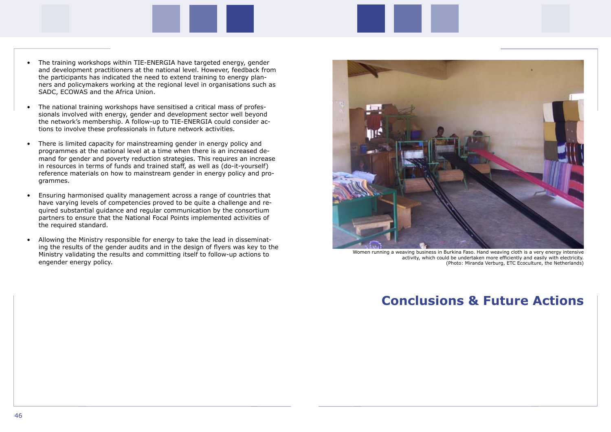- The training workshops within TIE-ENERGIA have targeted energy, gender and development practitioners at the national level. However, feedback from the participants has indicated the need to extend training to energy planners and policymakers working at the regional level in organisations such as SADC, ECOWAS and the Africa Union.
- The national training workshops have sensitised a critical mass of professionals involved with energy, gender and development sector well beyond the network's membership. A follow-up to TIE-ENERGIA could consider actions to involve these professionals in future network activities.
- There is limited capacity for mainstreaming gender in energy policy and programmes at the national level at a time when there is an increased demand for gender and poverty reduction strategies. This requires an increase in resources in terms of funds and trained staff, as well as (do-it-yourself) reference materials on how to mainstream gender in energy policy and programmes.
- Ensuring harmonised quality management across a range of countries that have varying levels of competencies proved to be quite a challenge and required substantial guidance and regular communication by the consortium partners to ensure that the National Focal Points implemented activities of the required standard.
- Allowing the Ministry responsible for energy to take the lead in disseminating the results of the gender audits and in the design of flyers was key to the Ministry validating the results and committing itself to follow-up actions to engender energy policy.



## **Conclusions & Future Actions**

Women running a weaving business in Burkina Faso. Hand weaving cloth is a very energy intensive activity, which could be undertaken more efficiently and easily with electricity. (Photo: Miranda Verburg, ETC Ecoculture, the Netherlands)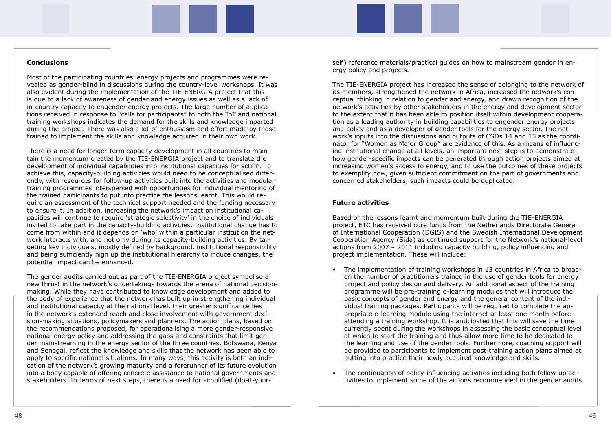#### **Conclusions**

Most of the participating countries' energy projects and programmes were revealed as gender-blind in discussions during the country-level workshops. It was also evident during the implementation of the TIE-ENERGIA project that this is due to a lack of awareness of gender and energy issues as well as a lack of in-country capacity to engender energy projects. The large number of applications received in response to "calls for participants" to both the ToT and national training workshops indicates the demand for the skills and knowledge imparted during the project. There was also a lot of enthusiasm and effort made by those trained to implement the skills and knowledge acquired in their own work.

There is a need for longer-term capacity development in all countries to maintain the momentum created by the TIE-ENERGIA project and to translate the development of individual capabilities into institutional capacities for action. To achieve this, capacity-building activities would need to be conceptualised differently, with resources for follow-up activities built into the activities and modular training programmes interspersed with opportunities for individual mentoring of the trained participants to put into practice the lessons learnt. This would require an assessment of the technical support needed and the funding necessary to ensure it. In addition, increasing the network's impact on institutional capacities will continue to require 'strategic selectivity' in the choice of individuals invited to take part in the capacity-building activities. Institutional change has to come from within and it depends on 'who' within a particular institution the network interacts with, and not only during its capacity-building activities. By targeting key individuals, mostly defined by background, institutional responsibility and being sufficiently high up the institutional hierarchy to induce changes, the potential impact can be enhanced.

The gender audits carried out as part of the TIE-ENERGIA project symbolise a new thrust in the network's undertakings towards the arena of national decisionmaking. While they have contributed to knowledge development and added to the body of experience that the network has built up in strengthening individual and institutional capacity at the national level, their greater significance lies in the network's extended reach and close involvement with government decision-making situations, policymakers and planners. The action plans, based on the recommendations proposed, for operationalising a more gender-responsive national energy policy and addressing the gaps and constraints that limit gender mainstreaming in the energy sector of the three countries, Botswana, Kenya and Senegal, reflect the knowledge and skills that the network has been able to apply to specific national situations. In many ways, this activity is both an indication of the network's growing maturity and a forerunner of its future evolution into a body capable of offering concrete assistance to national governments and stakeholders. In terms of next steps, there is a need for simplified (do-it-yourself) reference materials/practical guides on how to mainstream gender in energy policy and projects.

The TIE-ENERGIA project has increased the sense of belonging to the network of its members, strengthened the network in Africa, increased the network's conceptual thinking in relation to gender and energy, and drawn recognition of the network's activities by other stakeholders in the energy and development sector to the extent that it has been able to position itself within development cooperation as a leading authority in building capabilities to engender energy projects and policy and as a developer of gender tools for the energy sector. The network's inputs into the discussions and outputs of CSDs 14 and 15 as the coordinator for "Women as Major Group" are evidence of this. As a means of influencing institutional change at all levels, an important next step is to demonstrate how gender-specific impacts can be generated through action projects aimed at increasing women's access to energy, and to use the outcomes of these projects to exemplify how, given sufficient commitment on the part of governments and concerned stakeholders, such impacts could be duplicated.

#### **Future activities**

Based on the lessons learnt and momentum built during the TIE-ENERGIA project, ETC has received core funds from the Netherlands Directorate General of International Cooperation (DGIS) and the Swedish International Development Cooperation Agency (Sida) as continued support for the Network's national-level actions from 2007 – 2011 including capacity building, policy influencing and project implementation. These will include:

en the number of practitioners trained in the use of gender tools for energy currently spent during the workshops in assessing the basic conceptual level the learning and use of the gender tools. Furthermore, coaching support will be provided to participants to implement post-training action plans aimed at

- The implementation of training workshops in 13 countries in Africa to broadproject and policy design and delivery. An additional aspect of the training programme will be pre-training e-learning modules that will introduce the basic concepts of gender and energy and the general content of the individual training packages. Participants will be required to complete the appropriate e-learning module using the internet at least one month before attending a training workshop. It is anticipated that this will save the time at which to start the training and thus allow more time to be dedicated to putting into practice their newly acquired knowledge and skills.
- The continuation of policy-influencing activities including both follow-up ac-

tivities to implement some of the actions recommended in the gender audits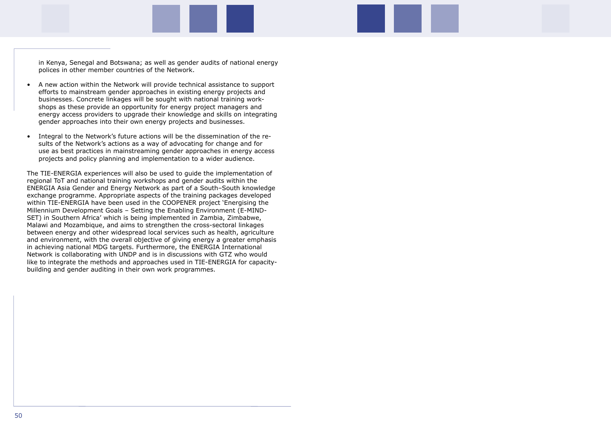in Kenya, Senegal and Botswana; as well as gender audits of national energy polices in other member countries of the Network.

- A new action within the Network will provide technical assistance to support efforts to mainstream gender approaches in existing energy projects and businesses. Concrete linkages will be sought with national training workshops as these provide an opportunity for energy project managers and energy access providers to upgrade their knowledge and skills on integrating gender approaches into their own energy projects and businesses.
- Integral to the Network's future actions will be the dissemination of the results of the Network's actions as a way of advocating for change and for use as best practices in mainstreaming gender approaches in energy access projects and policy planning and implementation to a wider audience.

The TIE-ENERGIA experiences will also be used to guide the implementation of regional ToT and national training workshops and gender audits within the ENERGIA Asia Gender and Energy Network as part of a South–South knowledge exchange programme. Appropriate aspects of the training packages developed within TIE-ENERGIA have been used in the COOPENER project 'Energising the Millennium Development Goals – Setting the Enabling Environment (E-MIND-SET) in Southern Africa' which is being implemented in Zambia, Zimbabwe, Malawi and Mozambique, and aims to strengthen the cross-sectoral linkages between energy and other widespread local services such as health, agriculture and environment, with the overall objective of giving energy a greater emphasis in achieving national MDG targets. Furthermore, the ENERGIA International Network is collaborating with UNDP and is in discussions with GTZ who would like to integrate the methods and approaches used in TIE-ENERGIA for capacitybuilding and gender auditing in their own work programmes.